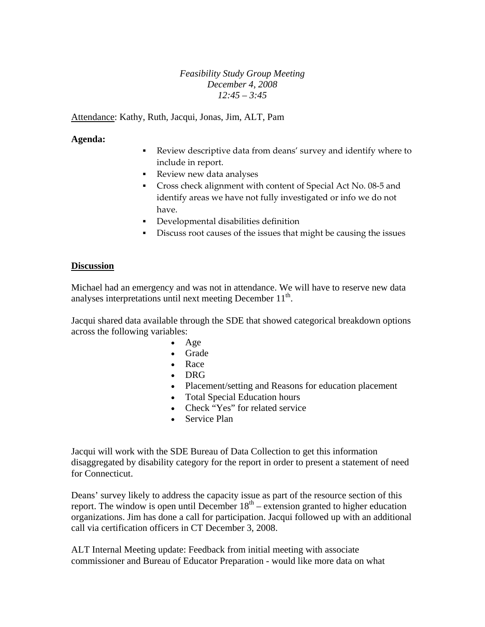## *Feasibility Study Group Meeting December 4, 2008 12:45 – 3:45*

Attendance: Kathy, Ruth, Jacqui, Jonas, Jim, ALT, Pam

## **Agenda:**

- Review descriptive data from deans' survey and identify where to include in report.
- Review new data analyses
- Cross check alignment with content of Special Act No. 08-5 and identify areas we have not fully investigated or info we do not have.
- Developmental disabilities definition
- Discuss root causes of the issues that might be causing the issues

## **Discussion**

Michael had an emergency and was not in attendance. We will have to reserve new data analyses interpretations until next meeting December  $11<sup>th</sup>$ .

Jacqui shared data available through the SDE that showed categorical breakdown options across the following variables:

- Age
- Grade
- Race
- DRG
- Placement/setting and Reasons for education placement
- Total Special Education hours
- Check "Yes" for related service
- Service Plan

Jacqui will work with the SDE Bureau of Data Collection to get this information disaggregated by disability category for the report in order to present a statement of need for Connecticut.

Deans' survey likely to address the capacity issue as part of the resource section of this report. The window is open until December  $18<sup>th</sup>$  – extension granted to higher education organizations. Jim has done a call for participation. Jacqui followed up with an additional call via certification officers in CT December 3, 2008.

ALT Internal Meeting update: Feedback from initial meeting with associate commissioner and Bureau of Educator Preparation - would like more data on what